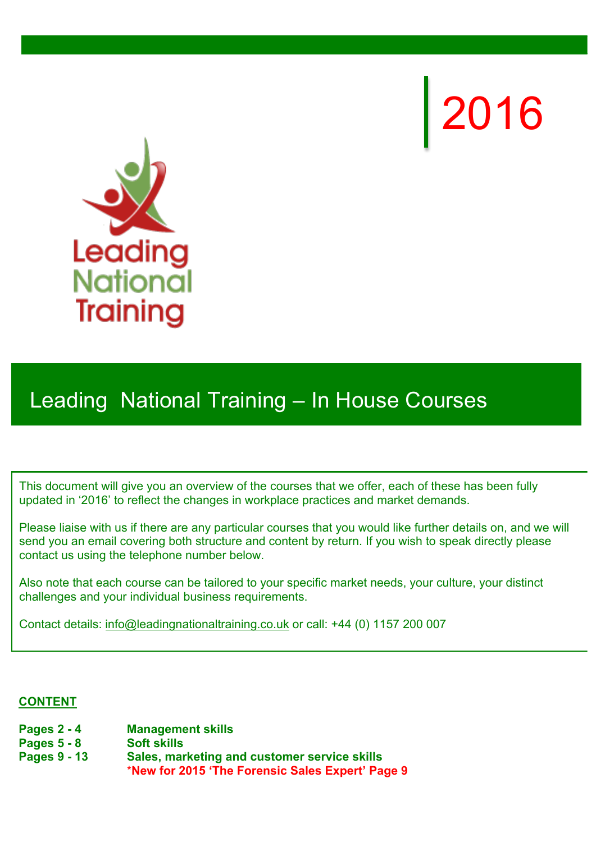2016



# Leading National Training – In House Courses

This document will give you an overview of the courses that we offer, each of these has been fully updated in '2016' to reflect the changes in workplace practices and market demands.

Please liaise with us if there are any particular courses that you would like further details on, and we will send you an email covering both structure and content by return. If you wish to speak directly please contact us using the telephone number below.

Also note that each course can be tailored to your specific market needs, your culture, your distinct challenges and your individual business requirements.

Contact details: info@leadingnationaltraining.co.uk or call: +44 (0) 1157 200 007

#### **CONTENT**

- **Pages 2 4 Management skills**
- **Pages 5 8 Soft skills**
- **Pages 9 13 Sales, marketing and customer service skills** \***New for 2015 'The Forensic Sales Expert' Page 9**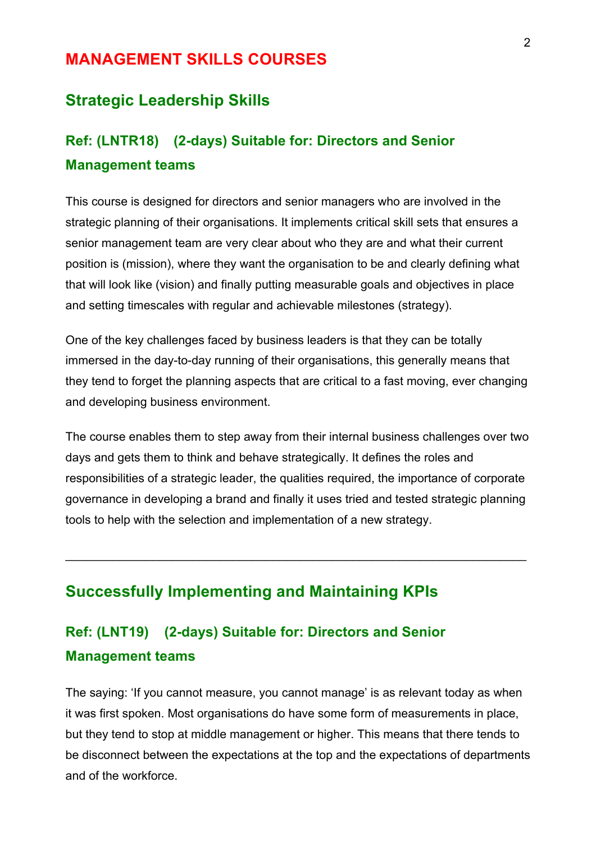### **MANAGEMENT SKILLS COURSES**

### **Strategic Leadership Skills**

## **Ref: (LNTR18) (2-days) Suitable for: Directors and Senior Management teams**

This course is designed for directors and senior managers who are involved in the strategic planning of their organisations. It implements critical skill sets that ensures a senior management team are very clear about who they are and what their current position is (mission), where they want the organisation to be and clearly defining what that will look like (vision) and finally putting measurable goals and objectives in place and setting timescales with regular and achievable milestones (strategy).

One of the key challenges faced by business leaders is that they can be totally immersed in the day-to-day running of their organisations, this generally means that they tend to forget the planning aspects that are critical to a fast moving, ever changing and developing business environment.

The course enables them to step away from their internal business challenges over two days and gets them to think and behave strategically. It defines the roles and responsibilities of a strategic leader, the qualities required, the importance of corporate governance in developing a brand and finally it uses tried and tested strategic planning tools to help with the selection and implementation of a new strategy.

 $\_$ 

## **Successfully Implementing and Maintaining KPIs**

## **Ref: (LNT19) (2-days) Suitable for: Directors and Senior Management teams**

The saying: 'If you cannot measure, you cannot manage' is as relevant today as when it was first spoken. Most organisations do have some form of measurements in place, but they tend to stop at middle management or higher. This means that there tends to be disconnect between the expectations at the top and the expectations of departments and of the workforce.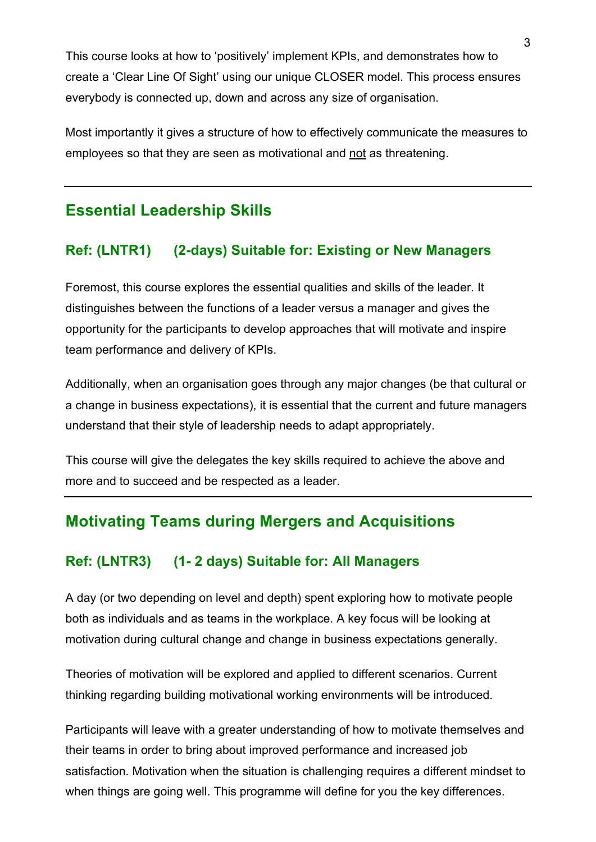This course looks at how to 'positively' implement KPIs, and demonstrates how to create a 'Clear Line Of Sight' using our unique CLOSER model. This process ensures everybody is connected up, down and across any size of organisation.

Most importantly it gives a structure of how to effectively communicate the measures to employees so that they are seen as motivational and not as threatening.

## **Essential Leadership Skills**

### **Ref: (LNTR1) (2-days) Suitable for: Existing or New Managers**

Foremost, this course explores the essential qualities and skills of the leader. It distinguishes between the functions of a leader versus a manager and gives the opportunity for the participants to develop approaches that will motivate and inspire team performance and delivery of KPIs.

Additionally, when an organisation goes through any major changes (be that cultural or a change in business expectations), it is essential that the current and future managers understand that their style of leadership needs to adapt appropriately.

This course will give the delegates the key skills required to achieve the above and more and to succeed and be respected as a leader.

## **Motivating Teams during Mergers and Acquisitions**

#### **Ref: (LNTR3) (1- 2 days) Suitable for: All Managers**

A day (or two depending on level and depth) spent exploring how to motivate people both as individuals and as teams in the workplace. A key focus will be looking at motivation during cultural change and change in business expectations generally.

Theories of motivation will be explored and applied to different scenarios. Current thinking regarding building motivational working environments will be introduced.

Participants will leave with a greater understanding of how to motivate themselves and their teams in order to bring about improved performance and increased job satisfaction. Motivation when the situation is challenging requires a different mindset to when things are going well. This programme will define for you the key differences.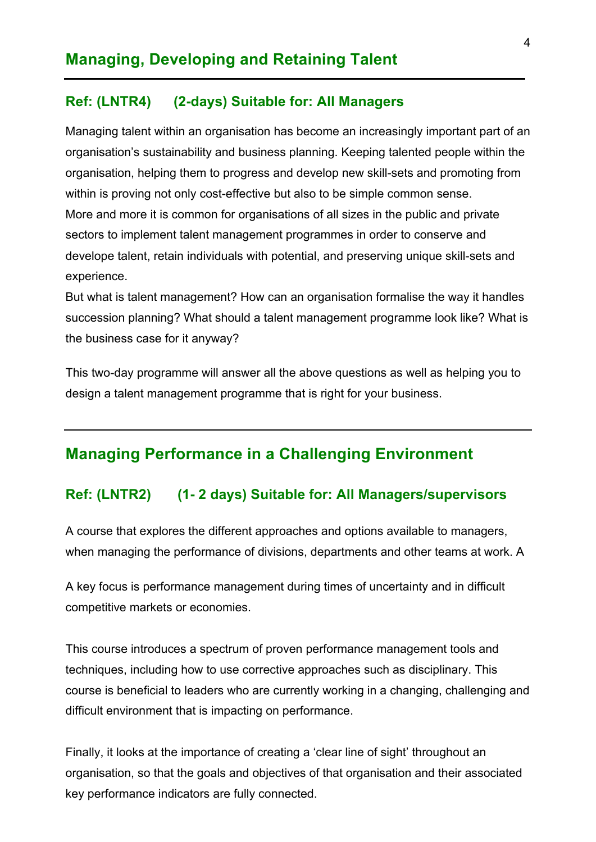#### **Ref: (LNTR4) (2-days) Suitable for: All Managers**

Managing talent within an organisation has become an increasingly important part of an organisation's sustainability and business planning. Keeping talented people within the organisation, helping them to progress and develop new skill-sets and promoting from within is proving not only cost-effective but also to be simple common sense. More and more it is common for organisations of all sizes in the public and private sectors to implement talent management programmes in order to conserve and develope talent, retain individuals with potential, and preserving unique skill-sets and experience.

But what is talent management? How can an organisation formalise the way it handles succession planning? What should a talent management programme look like? What is the business case for it anyway?

This two-day programme will answer all the above questions as well as helping you to design a talent management programme that is right for your business.

### **Managing Performance in a Challenging Environment**

#### **Ref: (LNTR2) (1- 2 days) Suitable for: All Managers/supervisors**

A course that explores the different approaches and options available to managers, when managing the performance of divisions, departments and other teams at work. A

A key focus is performance management during times of uncertainty and in difficult competitive markets or economies.

This course introduces a spectrum of proven performance management tools and techniques, including how to use corrective approaches such as disciplinary. This course is beneficial to leaders who are currently working in a changing, challenging and difficult environment that is impacting on performance.

Finally, it looks at the importance of creating a 'clear line of sight' throughout an organisation, so that the goals and objectives of that organisation and their associated key performance indicators are fully connected.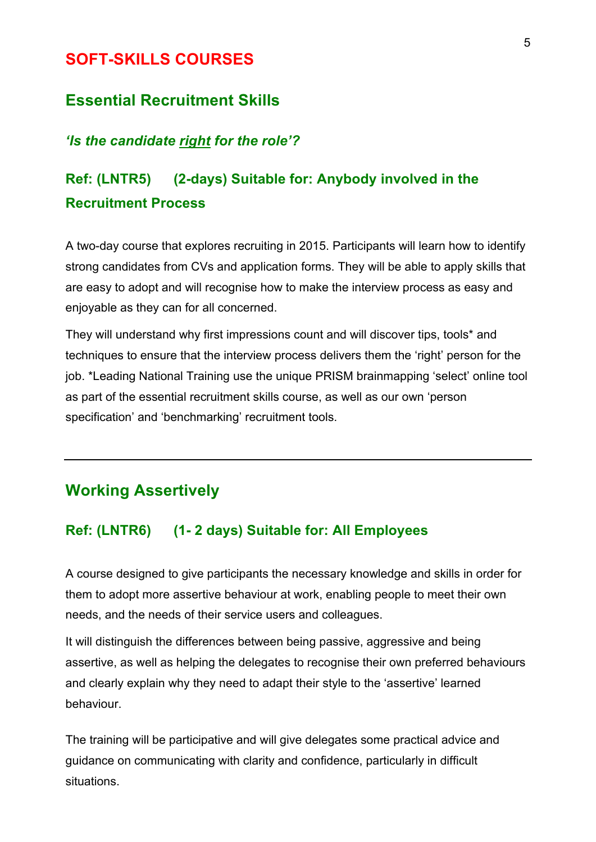### **SOFT-SKILLS COURSES**

### **Essential Recruitment Skills**

### *'Is the candidate right for the role'?*

## **Ref: (LNTR5) (2-days) Suitable for: Anybody involved in the Recruitment Process**

A two-day course that explores recruiting in 2015. Participants will learn how to identify strong candidates from CVs and application forms. They will be able to apply skills that are easy to adopt and will recognise how to make the interview process as easy and enjoyable as they can for all concerned.

They will understand why first impressions count and will discover tips, tools\* and techniques to ensure that the interview process delivers them the 'right' person for the job. \*Leading National Training use the unique PRISM brainmapping 'select' online tool as part of the essential recruitment skills course, as well as our own 'person specification' and 'benchmarking' recruitment tools.

## **Working Assertively**

#### **Ref: (LNTR6) (1- 2 days) Suitable for: All Employees**

A course designed to give participants the necessary knowledge and skills in order for them to adopt more assertive behaviour at work, enabling people to meet their own needs, and the needs of their service users and colleagues.

It will distinguish the differences between being passive, aggressive and being assertive, as well as helping the delegates to recognise their own preferred behaviours and clearly explain why they need to adapt their style to the 'assertive' learned behaviour.

The training will be participative and will give delegates some practical advice and guidance on communicating with clarity and confidence, particularly in difficult situations.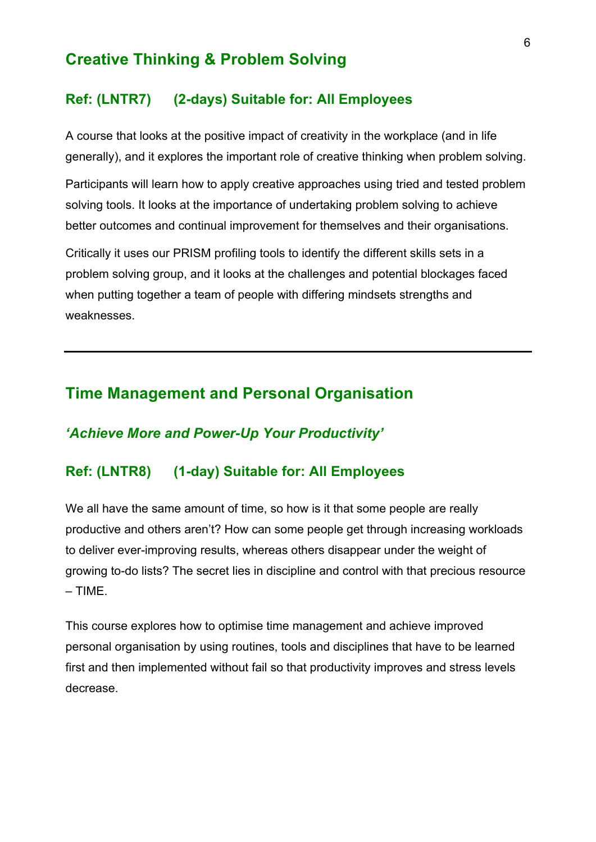### **Creative Thinking & Problem Solving**

#### **Ref: (LNTR7) (2-days) Suitable for: All Employees**

A course that looks at the positive impact of creativity in the workplace (and in life generally), and it explores the important role of creative thinking when problem solving.

Participants will learn how to apply creative approaches using tried and tested problem solving tools. It looks at the importance of undertaking problem solving to achieve better outcomes and continual improvement for themselves and their organisations.

Critically it uses our PRISM profiling tools to identify the different skills sets in a problem solving group, and it looks at the challenges and potential blockages faced when putting together a team of people with differing mindsets strengths and weaknesses.

### **Time Management and Personal Organisation**

#### *'Achieve More and Power-Up Your Productivity'*

### **Ref: (LNTR8) (1-day) Suitable for: All Employees**

We all have the same amount of time, so how is it that some people are really productive and others aren't? How can some people get through increasing workloads to deliver ever-improving results, whereas others disappear under the weight of growing to-do lists? The secret lies in discipline and control with that precious resource – TIME.

This course explores how to optimise time management and achieve improved personal organisation by using routines, tools and disciplines that have to be learned first and then implemented without fail so that productivity improves and stress levels decrease.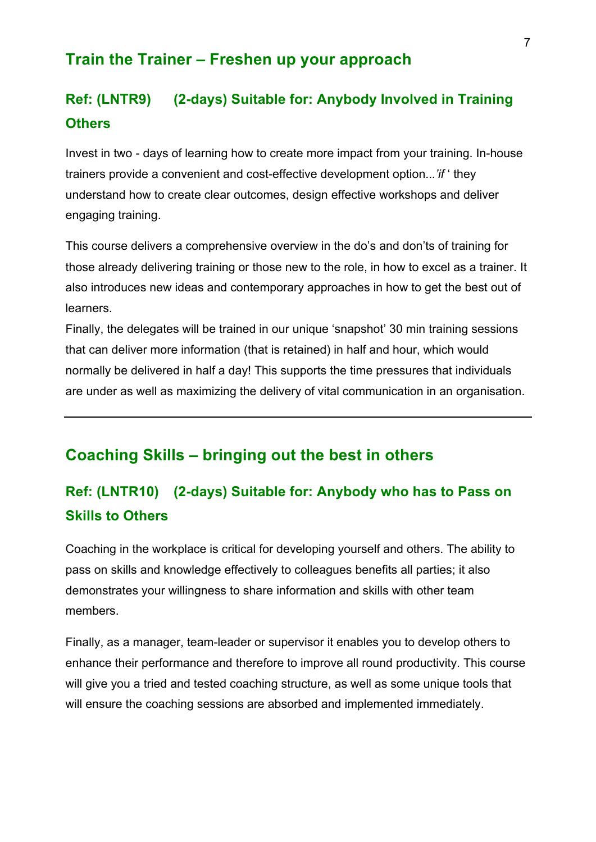### **Train the Trainer – Freshen up your approach**

## **Ref: (LNTR9) (2-days) Suitable for: Anybody Involved in Training Others**

Invest in two - days of learning how to create more impact from your training. In-house trainers provide a convenient and cost-effective development option..*.'if* ' they understand how to create clear outcomes, design effective workshops and deliver engaging training.

This course delivers a comprehensive overview in the do's and don'ts of training for those already delivering training or those new to the role, in how to excel as a trainer. It also introduces new ideas and contemporary approaches in how to get the best out of learners.

Finally, the delegates will be trained in our unique 'snapshot' 30 min training sessions that can deliver more information (that is retained) in half and hour, which would normally be delivered in half a day! This supports the time pressures that individuals are under as well as maximizing the delivery of vital communication in an organisation.

## **Coaching Skills – bringing out the best in others**

## **Ref: (LNTR10) (2-days) Suitable for: Anybody who has to Pass on Skills to Others**

Coaching in the workplace is critical for developing yourself and others. The ability to pass on skills and knowledge effectively to colleagues benefits all parties; it also demonstrates your willingness to share information and skills with other team members.

Finally, as a manager, team-leader or supervisor it enables you to develop others to enhance their performance and therefore to improve all round productivity. This course will give you a tried and tested coaching structure, as well as some unique tools that will ensure the coaching sessions are absorbed and implemented immediately.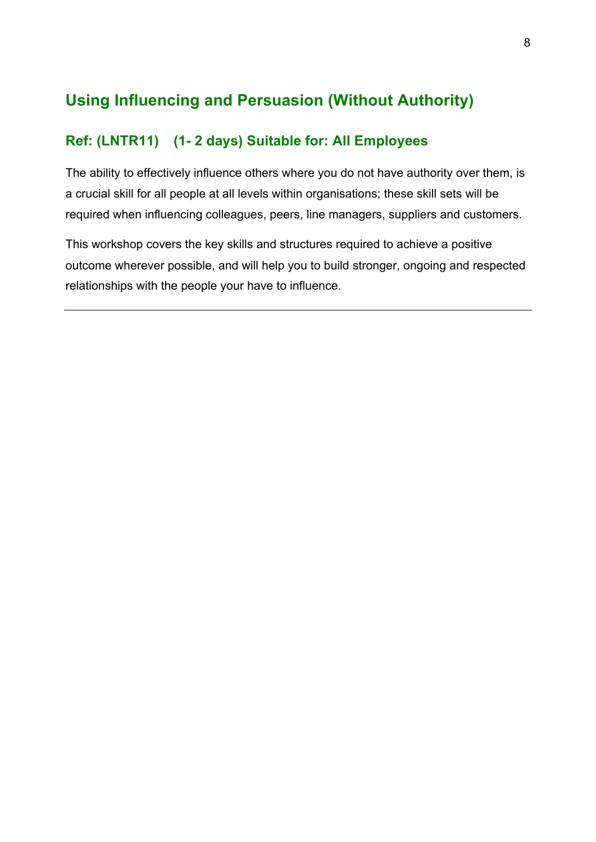## **Using Influencing and Persuasion (Without Authority)**

### **Ref: (LNTR11) (1- 2 days) Suitable for: All Employees**

The ability to effectively influence others where you do not have authority over them, is a crucial skill for all people at all levels within organisations; these skill sets will be required when influencing colleagues, peers, line managers, suppliers and customers.

This workshop covers the key skills and structures required to achieve a positive outcome wherever possible, and will help you to build stronger, ongoing and respected relationships with the people your have to influence.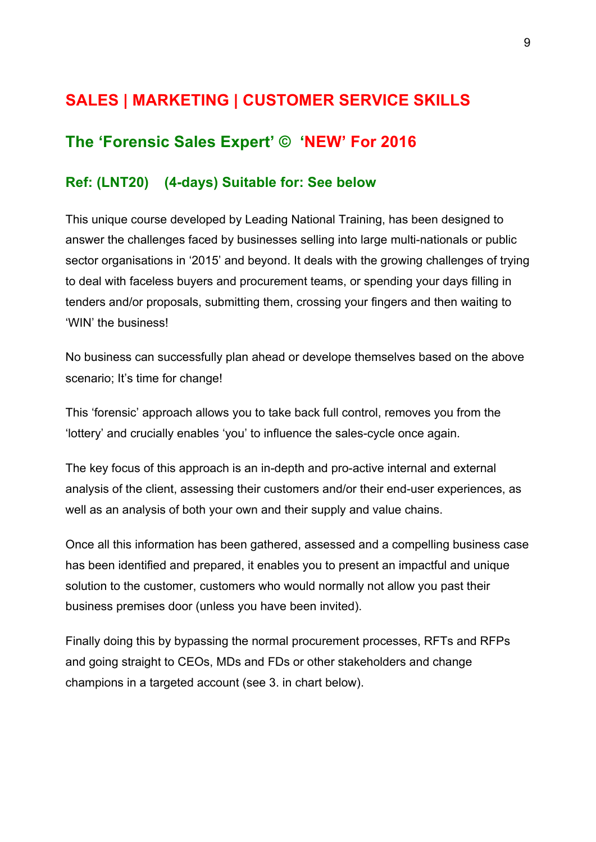## **SALES | MARKETING | CUSTOMER SERVICE SKILLS**

## **The 'Forensic Sales Expert' © 'NEW' For 2016**

#### **Ref: (LNT20) (4-days) Suitable for: See below**

This unique course developed by Leading National Training, has been designed to answer the challenges faced by businesses selling into large multi-nationals or public sector organisations in '2015' and beyond. It deals with the growing challenges of trying to deal with faceless buyers and procurement teams, or spending your days filling in tenders and/or proposals, submitting them, crossing your fingers and then waiting to 'WIN' the business!

No business can successfully plan ahead or develope themselves based on the above scenario; It's time for change!

This 'forensic' approach allows you to take back full control, removes you from the 'lottery' and crucially enables 'you' to influence the sales-cycle once again.

The key focus of this approach is an in-depth and pro-active internal and external analysis of the client, assessing their customers and/or their end-user experiences, as well as an analysis of both your own and their supply and value chains.

Once all this information has been gathered, assessed and a compelling business case has been identified and prepared, it enables you to present an impactful and unique solution to the customer, customers who would normally not allow you past their business premises door (unless you have been invited).

Finally doing this by bypassing the normal procurement processes, RFTs and RFPs and going straight to CEOs, MDs and FDs or other stakeholders and change champions in a targeted account (see 3. in chart below).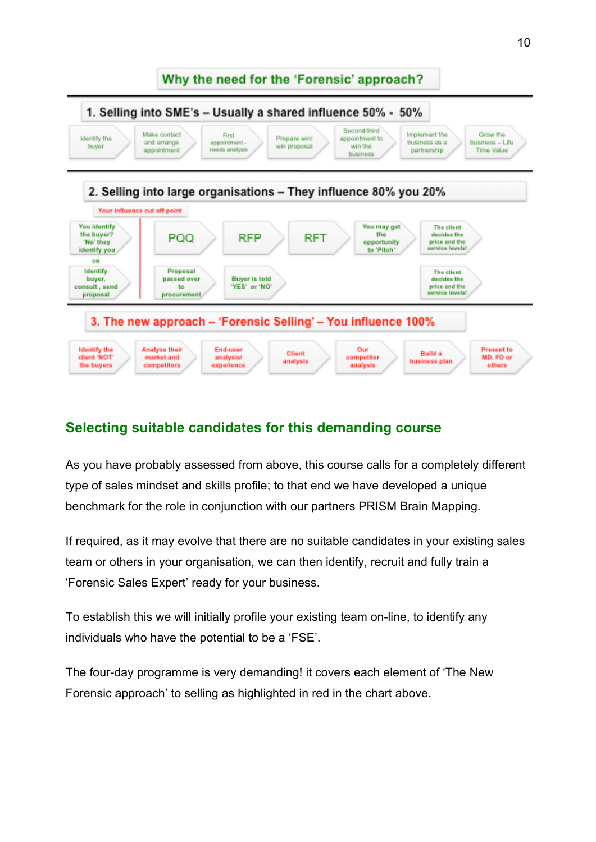

### **Selecting suitable candidates for this demanding course**

As you have probably assessed from above, this course calls for a completely different type of sales mindset and skills profile; to that end we have developed a unique benchmark for the role in conjunction with our partners PRISM Brain Mapping.

If required, as it may evolve that there are no suitable candidates in your existing sales team or others in your organisation, we can then identify, recruit and fully train a 'Forensic Sales Expert' ready for your business.

To establish this we will initially profile your existing team on-line, to identify any individuals who have the potential to be a 'FSE'.

The four-day programme is very demanding! it covers each element of 'The New Forensic approach' to selling as highlighted in red in the chart above.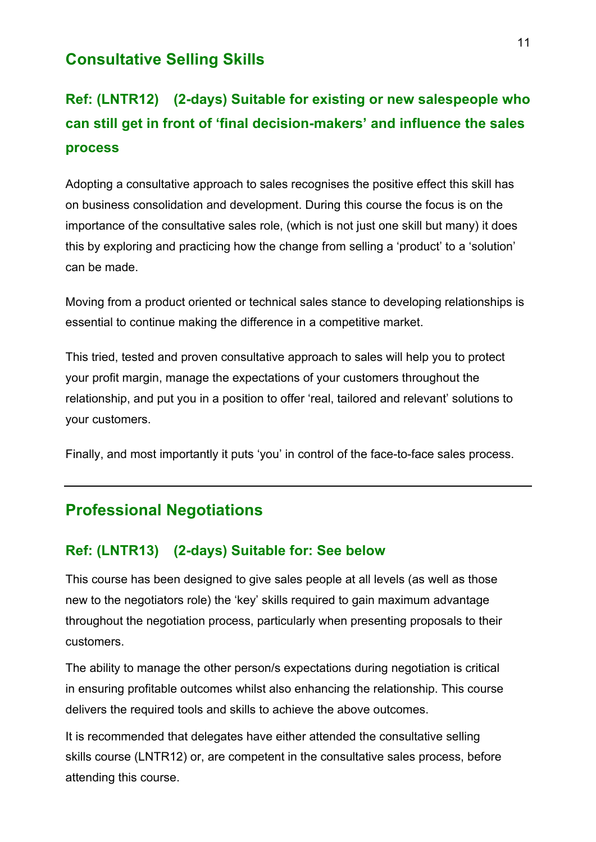## **Consultative Selling Skills**

## **Ref: (LNTR12) (2-days) Suitable for existing or new salespeople who can still get in front of 'final decision-makers' and influence the sales process**

Adopting a consultative approach to sales recognises the positive effect this skill has on business consolidation and development. During this course the focus is on the importance of the consultative sales role, (which is not just one skill but many) it does this by exploring and practicing how the change from selling a 'product' to a 'solution' can be made.

Moving from a product oriented or technical sales stance to developing relationships is essential to continue making the difference in a competitive market.

This tried, tested and proven consultative approach to sales will help you to protect your profit margin, manage the expectations of your customers throughout the relationship, and put you in a position to offer 'real, tailored and relevant' solutions to your customers.

Finally, and most importantly it puts 'you' in control of the face-to-face sales process.

## **Professional Negotiations**

#### **Ref: (LNTR13) (2-days) Suitable for: See below**

This course has been designed to give sales people at all levels (as well as those new to the negotiators role) the 'key' skills required to gain maximum advantage throughout the negotiation process, particularly when presenting proposals to their customers.

The ability to manage the other person/s expectations during negotiation is critical in ensuring profitable outcomes whilst also enhancing the relationship. This course delivers the required tools and skills to achieve the above outcomes.

It is recommended that delegates have either attended the consultative selling skills course (LNTR12) or, are competent in the consultative sales process, before attending this course.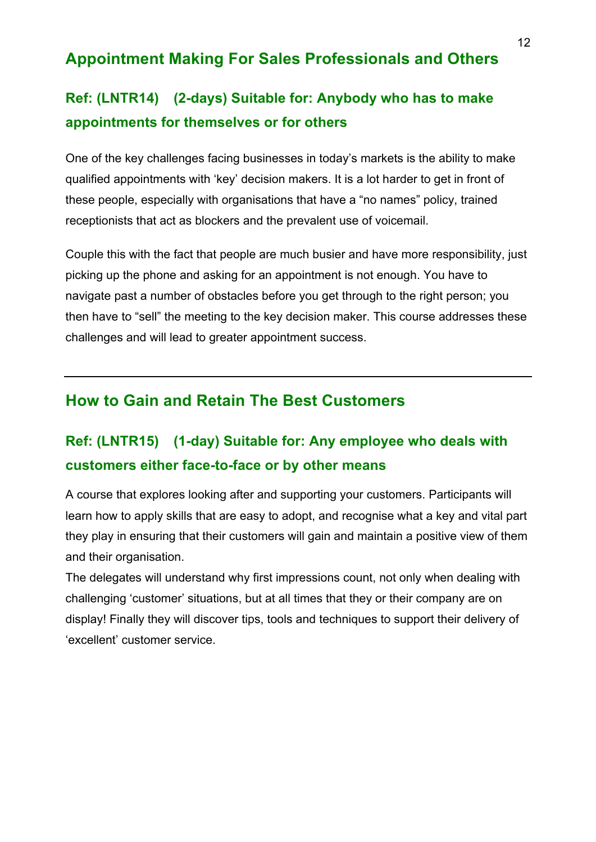## **Appointment Making For Sales Professionals and Others**

## **Ref: (LNTR14) (2-days) Suitable for: Anybody who has to make appointments for themselves or for others**

One of the key challenges facing businesses in today's markets is the ability to make qualified appointments with 'key' decision makers. It is a lot harder to get in front of these people, especially with organisations that have a "no names" policy, trained receptionists that act as blockers and the prevalent use of voicemail.

Couple this with the fact that people are much busier and have more responsibility, just picking up the phone and asking for an appointment is not enough. You have to navigate past a number of obstacles before you get through to the right person; you then have to "sell" the meeting to the key decision maker. This course addresses these challenges and will lead to greater appointment success.

### **How to Gain and Retain The Best Customers**

## **Ref: (LNTR15) (1-day) Suitable for: Any employee who deals with customers either face-to-face or by other means**

A course that explores looking after and supporting your customers. Participants will learn how to apply skills that are easy to adopt, and recognise what a key and vital part they play in ensuring that their customers will gain and maintain a positive view of them and their organisation.

The delegates will understand why first impressions count, not only when dealing with challenging 'customer' situations, but at all times that they or their company are on display! Finally they will discover tips, tools and techniques to support their delivery of 'excellent' customer service.